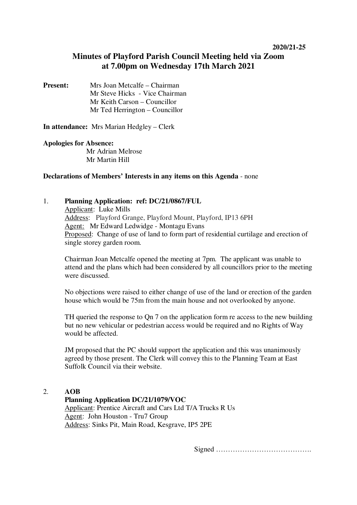#### **2020/21-25**

# **Minutes of Playford Parish Council Meeting held via Zoom at 7.00pm on Wednesday 17th March 2021**

## **Present:** Mrs Joan Metcalfe – Chairman Mr Steve Hicks - Vice Chairman Mr Keith Carson – Councillor Mr Ted Herrington – Councillor

**In attendance:** Mrs Marian Hedgley – Clerk

#### **Apologies for Absence:**

Mr Adrian Melrose Mr Martin Hill

## **Declarations of Members' Interests in any items on this Agenda** - none

## 1. **Planning Application: ref: DC/21/0867/FUL**

Applicant: Luke Mills Address: Playford Grange, Playford Mount, Playford, IP13 6PH Agent: Mr Edward Ledwidge - Montagu Evans Proposed: Change of use of land to form part of residential curtilage and erection of single storey garden room.

Chairman Joan Metcalfe opened the meeting at 7pm. The applicant was unable to attend and the plans which had been considered by all councillors prior to the meeting were discussed.

No objections were raised to either change of use of the land or erection of the garden house which would be 75m from the main house and not overlooked by anyone.

TH queried the response to Qn 7 on the application form re access to the new building but no new vehicular or pedestrian access would be required and no Rights of Way would be affected.

JM proposed that the PC should support the application and this was unanimously agreed by those present. The Clerk will convey this to the Planning Team at East Suffolk Council via their website.

#### 2. **AOB**

**Planning Application DC/21/1079/VOC**  Applicant: Prentice Aircraft and Cars Ltd T/A Trucks R Us Agent: John Houston - Tru7 Group Address: Sinks Pit, Main Road, Kesgrave, IP5 2PE

Signed ………………………………….